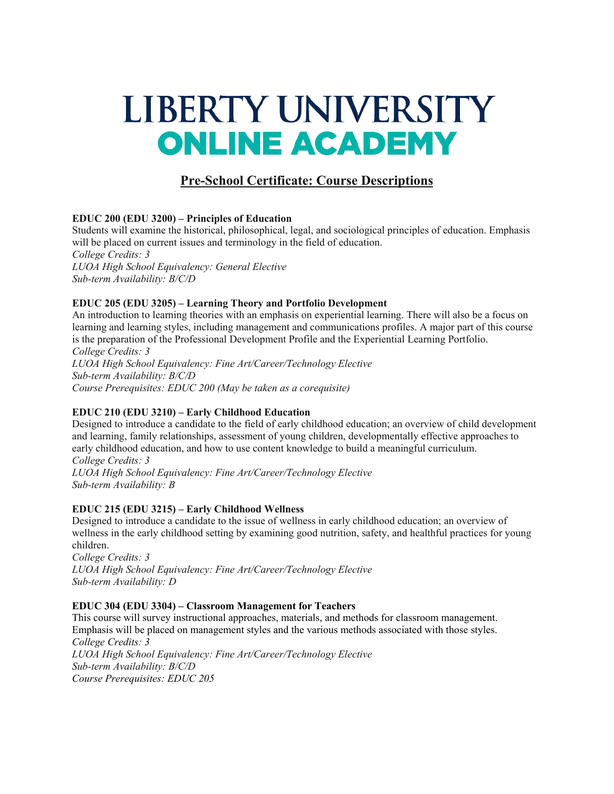# LIBERTY UNIVERSITY **ONLINE ACADEMY**

# **Pre-School Certificate: Course Descriptions**

## **EDUC 200 (EDU 3200) – Principles of Education**

Students will examine the historical, philosophical, legal, and sociological principles of education. Emphasis will be placed on current issues and terminology in the field of education. *College Credits: 3*

*LUOA High School Equivalency: General Elective Sub-term Availability: B/C/D*

## **EDUC 205 (EDU 3205) – Learning Theory and Portfolio Development**

An introduction to learning theories with an emphasis on experiential learning. There will also be a focus on learning and learning styles, including management and communications profiles. A major part of this course is the preparation of the Professional Development Profile and the Experiential Learning Portfolio. *College Credits: 3 LUOA High School Equivalency: Fine Art/Career/Technology Elective Sub-term Availability: B/C/D Course Prerequisites: EDUC 200 (May be taken as a corequisite)*

# **EDUC 210 (EDU 3210) – Early Childhood Education**

Designed to introduce a candidate to the field of early childhood education; an overview of child development and learning, family relationships, assessment of young children, developmentally effective approaches to early childhood education, and how to use content knowledge to build a meaningful curriculum. *College Credits: 3 LUOA High School Equivalency: Fine Art/Career/Technology Elective Sub-term Availability: B*

#### **EDUC 215 (EDU 3215) – Early Childhood Wellness**

Designed to introduce a candidate to the issue of wellness in early childhood education; an overview of wellness in the early childhood setting by examining good nutrition, safety, and healthful practices for young children.

*College Credits: 3 LUOA High School Equivalency: Fine Art/Career/Technology Elective Sub-term Availability: D*

#### **EDUC 304 (EDU 3304) – Classroom Management for Teachers**

This course will survey instructional approaches, materials, and methods for classroom management. Emphasis will be placed on management styles and the various methods associated with those styles. *College Credits: 3 LUOA High School Equivalency: Fine Art/Career/Technology Elective Sub-term Availability: B/C/D Course Prerequisites: EDUC 205*